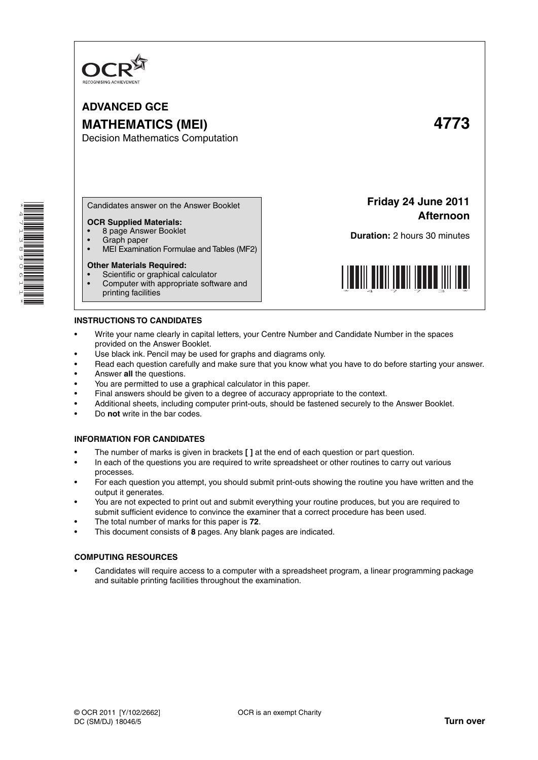

**ADVANCED GCE MATHEMATICS (MEI) 4773** Decision Mathematics Computation

**Afternoon**

**Friday 24 June 2011**

**Duration:** 2 hours 30 minutes

\*4773\*



Candidates answer on the Answer Booklet

- **OCR Supplied Materials:**
- 8 page Answer Booklet
- Graph paper<br>• MELExamina
- MEI Examination Formulae and Tables (MF2)

#### **Other Materials Required:**

- Scientific or graphical calculator
- Computer with appropriate software and printing facilities

**INSTRUCTIONS TO CANDIDATES**

- Write your name clearly in capital letters, your Centre Number and Candidate Number in the spaces provided on the Answer Booklet.
- Use black ink. Pencil may be used for graphs and diagrams only.
- Read each question carefully and make sure that you know what you have to do before starting your answer.
- Answer **all** the questions.
- You are permitted to use a graphical calculator in this paper.
- Final answers should be given to a degree of accuracy appropriate to the context.
- Additional sheets, including computer print-outs, should be fastened securely to the Answer Booklet.
- Do **not** write in the bar codes.

## **INFORMATION FOR CANDIDATES**

- The number of marks is given in brackets **[ ]** at the end of each question or part question.
- In each of the questions you are required to write spreadsheet or other routines to carry out various processes.
- For each question you attempt, you should submit print-outs showing the routine you have written and the output it generates.
- You are not expected to print out and submit everything your routine produces, but you are required to submit sufficient evidence to convince the examiner that a correct procedure has been used.
- The total number of marks for this paper is **72**.
- This document consists of **8** pages. Any blank pages are indicated.

### **COMPUTING RESOURCES**

• Candidates will require access to a computer with a spreadsheet program, a linear programming package and suitable printing facilities throughout the examination.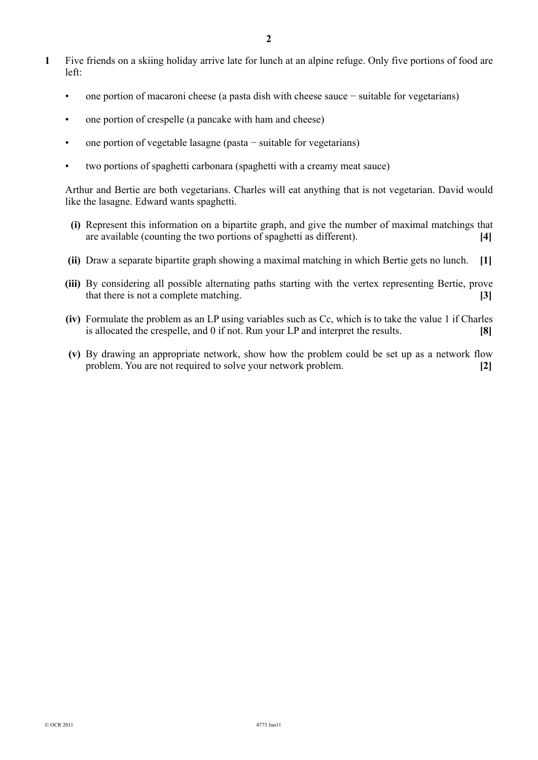- **1** Five friends on a skiing holiday arrive late for lunch at an alpine refuge. Only five portions of food are left:
	- one portion of macaroni cheese (a pasta dish with cheese sauce − suitable for vegetarians)
	- one portion of crespelle (a pancake with ham and cheese)
	- one portion of vegetable lasagne (pasta − suitable for vegetarians)
	- two portions of spaghetti carbonara (spaghetti with a creamy meat sauce)

Arthur and Bertie are both vegetarians. Charles will eat anything that is not vegetarian. David would like the lasagne. Edward wants spaghetti.

- **(i)** Represent this information on a bipartite graph, and give the number of maximal matchings that are available (counting the two portions of spaghetti as different). **[4]**
- **(ii)** Draw a separate bipartite graph showing a maximal matching in which Bertie gets no lunch. **[1]**
- **(iii)** By considering all possible alternating paths starting with the vertex representing Bertie, prove that there is not a complete matching. **[3]**
- **(iv)** Formulate the problem as an LP using variables such as Cc, which is to take the value 1 if Charles is allocated the crespelle, and 0 if not. Run your LP and interpret the results. **[8]**
- **(v)** By drawing an appropriate network, show how the problem could be set up as a network flow problem. You are not required to solve your network problem. **[2]**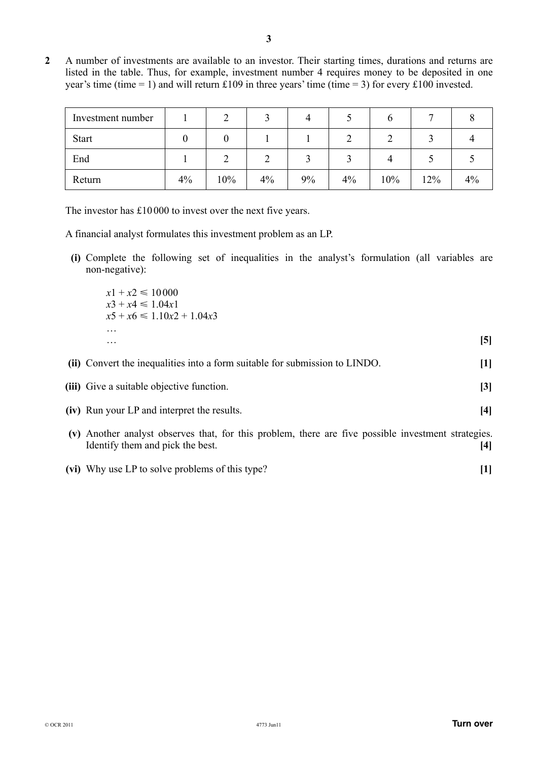**2** A number of investments are available to an investor. Their starting times, durations and returns are listed in the table. Thus, for example, investment number 4 requires money to be deposited in one year's time (time = 1) and will return £109 in three years' time (time = 3) for every £100 invested.

| Investment number |    | ∸   |    |    |    | n   |     |    |
|-------------------|----|-----|----|----|----|-----|-----|----|
| <b>Start</b>      |    |     |    |    |    |     |     |    |
| End               |    |     |    |    |    |     |     |    |
| Return            | 4% | 10% | 4% | 9% | 4% | 10% | 12% | 4% |

The investor has £10 000 to invest over the next five years.

A financial analyst formulates this investment problem as an LP.

 **(i)** Complete the following set of inequalities in the analyst's formulation (all variables are non-negative):

| $x1 + x2 \le 10000$           |                   |
|-------------------------------|-------------------|
| $x3 + x4 \le 1.04x1$          |                   |
| $x5 + x6 \le 1.10x2 + 1.04x3$ |                   |
| $\cdots$                      |                   |
| $\cdots$                      | $\lceil 5 \rceil$ |
|                               |                   |

 **(ii)** Convert the inequalities into a form suitable for submission to LINDO. **[1]**

| (iii) Give a suitable objective function. |  |
|-------------------------------------------|--|
|                                           |  |

- **(iv)** Run your LP and interpret the results. **[4]**
- **(v)** Another analyst observes that, for this problem, there are five possible investment strategies. Identify them and pick the best. **[4]**
- **(vi)** Why use LP to solve problems of this type? **[1]**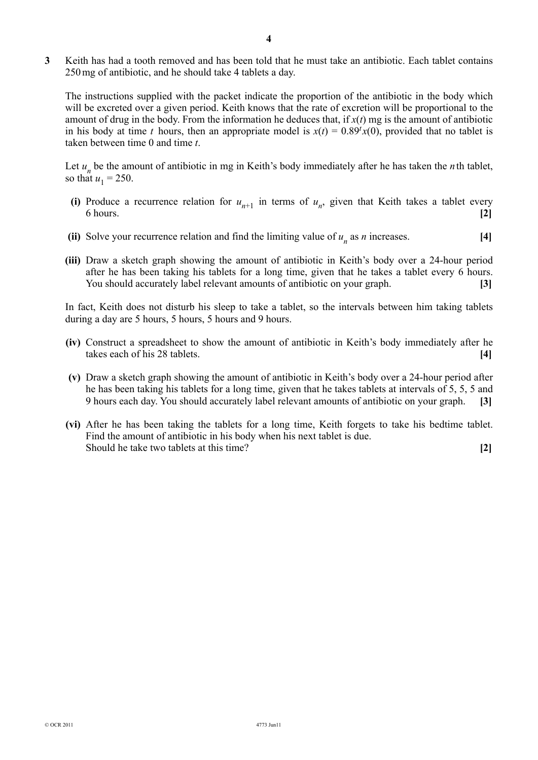**3** Keith has had a tooth removed and has been told that he must take an antibiotic. Each tablet contains 250 mg of antibiotic, and he should take 4 tablets a day.

The instructions supplied with the packet indicate the proportion of the antibiotic in the body which will be excreted over a given period. Keith knows that the rate of excretion will be proportional to the amount of drug in the body. From the information he deduces that, if  $x(t)$  mg is the amount of antibiotic in his body at time *t* hours, then an appropriate model is  $x(t) = 0.89<sup>t</sup> x(0)$ , provided that no tablet is taken between time 0 and time *t*.

Let  $u_n$  be the amount of antibiotic in mg in Keith's body immediately after he has taken the *n* th tablet, so that  $u_1 = 250$ .

- **(i)** Produce a recurrence relation for  $u_{n+1}$  in terms of  $u_n$ , given that Keith takes a tablet every 6 hours. 6 hours. **[2]**
- **(ii)** Solve your recurrence relation and find the limiting value of *un* as *n* increases. **[4]**
- **(iii)** Draw a sketch graph showing the amount of antibiotic in Keith's body over a 24-hour period after he has been taking his tablets for a long time, given that he takes a tablet every 6 hours. You should accurately label relevant amounts of antibiotic on your graph. **[3]**

In fact, Keith does not disturb his sleep to take a tablet, so the intervals between him taking tablets during a day are 5 hours, 5 hours, 5 hours and 9 hours.

- **(iv)** Construct a spreadsheet to show the amount of antibiotic in Keith's body immediately after he takes each of his 28 tablets. **[4]**
- **(v)** Draw a sketch graph showing the amount of antibiotic in Keith's body over a 24-hour period after he has been taking his tablets for a long time, given that he takes tablets at intervals of 5, 5, 5 and 9 hours each day. You should accurately label relevant amounts of antibiotic on your graph. **[3]**
- **(vi)** After he has been taking the tablets for a long time, Keith forgets to take his bedtime tablet. Find the amount of antibiotic in his body when his next tablet is due. **Should he take two tablets at this time? [2] [2]**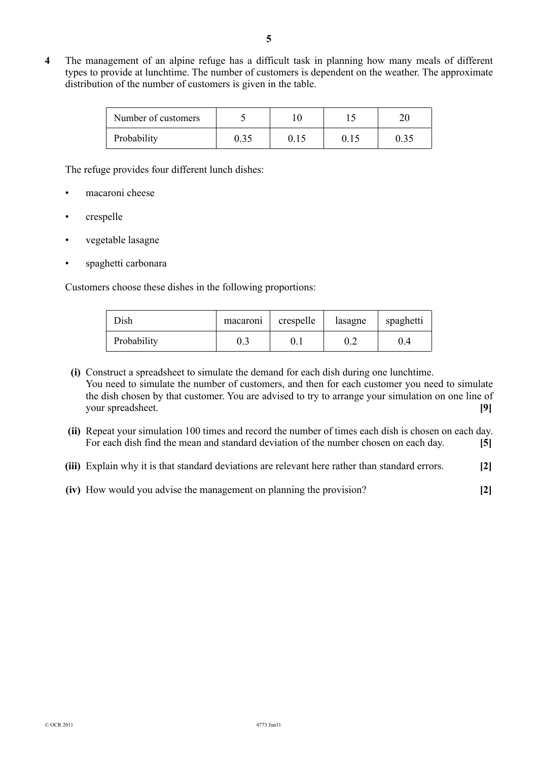**4** The management of an alpine refuge has a difficult task in planning how many meals of different types to provide at lunchtime. The number of customers is dependent on the weather. The approximate distribution of the number of customers is given in the table.

| Number of customers |      |      | n r  |
|---------------------|------|------|------|
| Probability         | 0.35 | 0.15 | 0.35 |

The refuge provides four different lunch dishes:

- macaroni cheese
- crespelle
- vegetable lasagne
- spaghetti carbonara

Customers choose these dishes in the following proportions:

| Dish        | macaroni | crespelle | lasagne | spaghetti |
|-------------|----------|-----------|---------|-----------|
| Probability |          |           |         | 0.4       |

- **(i)** Construct a spreadsheet to simulate the demand for each dish during one lunchtime. You need to simulate the number of customers, and then for each customer you need to simulate the dish chosen by that customer. You are advised to try to arrange your simulation on one line of your spreadsheet. **[9]**
- **(ii)** Repeat your simulation 100 times and record the number of times each dish is chosen on each day. For each dish find the mean and standard deviation of the number chosen on each day. **[5]**
- **(iii)** Explain why it is that standard deviations are relevant here rather than standard errors. **[2]**
- **(iv)** How would you advise the management on planning the provision? **[2]**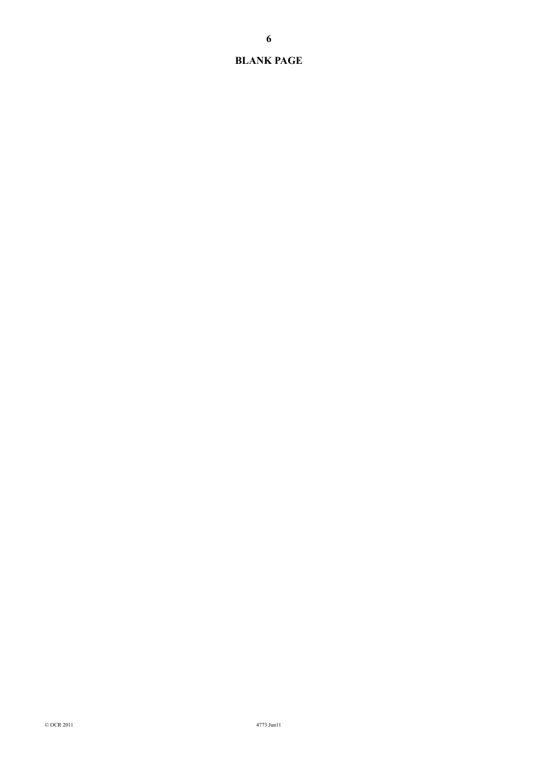# **BLANK PAGE**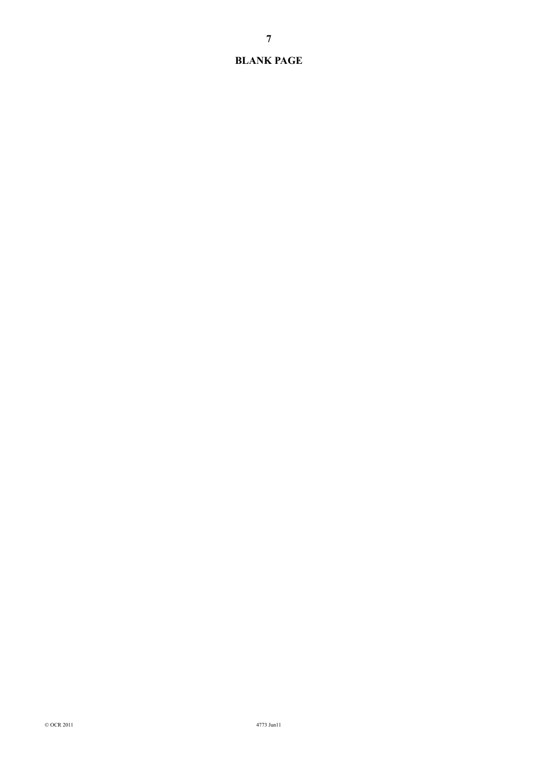# **BLANK PAGE**